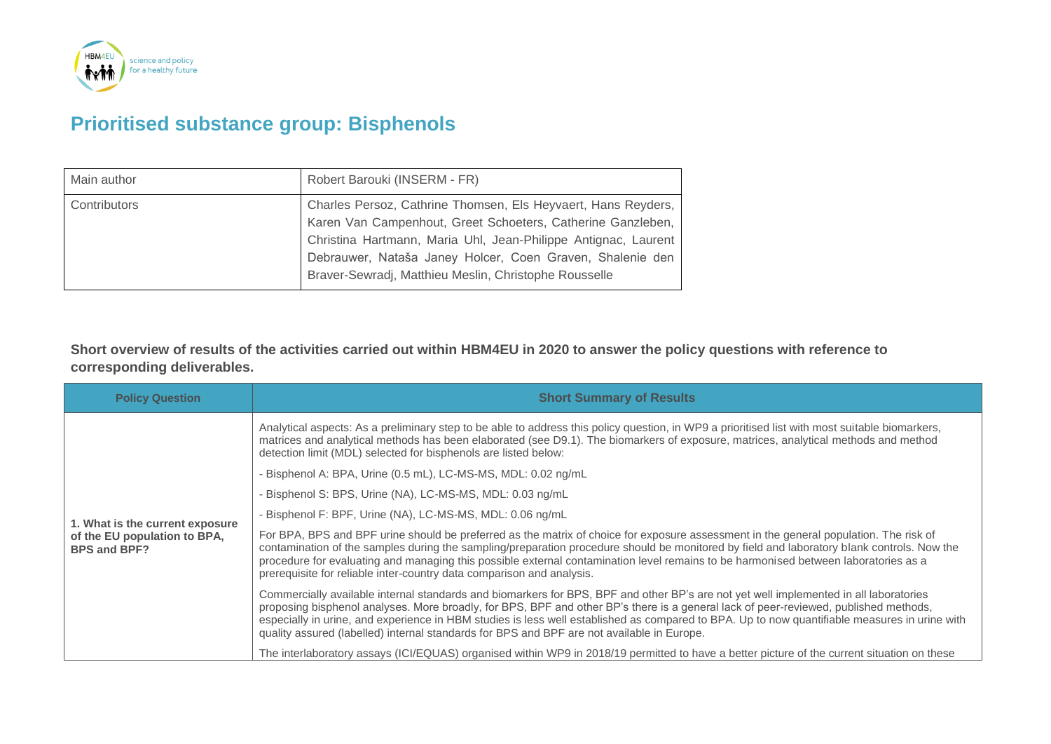

## **Prioritised substance group: Bisphenols**

| Main author  | Robert Barouki (INSERM - FR)                                                                                                                                                                                                                                                                                         |
|--------------|----------------------------------------------------------------------------------------------------------------------------------------------------------------------------------------------------------------------------------------------------------------------------------------------------------------------|
| Contributors | Charles Persoz, Cathrine Thomsen, Els Heyvaert, Hans Reyders,<br>Karen Van Campenhout, Greet Schoeters, Catherine Ganzleben,<br>Christina Hartmann, Maria Uhl, Jean-Philippe Antignac, Laurent<br>Debrauwer, Nataša Janey Holcer, Coen Graven, Shalenie den<br>Braver-Sewradj, Matthieu Meslin, Christophe Rousselle |

**Short overview of results of the activities carried out within HBM4EU in 2020 to answer the policy questions with reference to corresponding deliverables.**

| <b>Policy Question</b>                                                                 | <b>Short Summary of Results</b>                                                                                                                                                                                                                                                                                                                                                                                                                                                                                              |
|----------------------------------------------------------------------------------------|------------------------------------------------------------------------------------------------------------------------------------------------------------------------------------------------------------------------------------------------------------------------------------------------------------------------------------------------------------------------------------------------------------------------------------------------------------------------------------------------------------------------------|
| 1. What is the current exposure<br>of the EU population to BPA,<br><b>BPS and BPF?</b> | Analytical aspects: As a preliminary step to be able to address this policy question, in WP9 a prioritised list with most suitable biomarkers,<br>matrices and analytical methods has been elaborated (see D9.1). The biomarkers of exposure, matrices, analytical methods and method<br>detection limit (MDL) selected for bisphenols are listed below:                                                                                                                                                                     |
|                                                                                        | - Bisphenol A: BPA, Urine (0.5 mL), LC-MS-MS, MDL: 0.02 ng/mL                                                                                                                                                                                                                                                                                                                                                                                                                                                                |
|                                                                                        | - Bisphenol S: BPS, Urine (NA), LC-MS-MS, MDL: 0.03 ng/mL                                                                                                                                                                                                                                                                                                                                                                                                                                                                    |
|                                                                                        | - Bisphenol F: BPF, Urine (NA), LC-MS-MS, MDL: 0.06 ng/mL                                                                                                                                                                                                                                                                                                                                                                                                                                                                    |
|                                                                                        | For BPA, BPS and BPF urine should be preferred as the matrix of choice for exposure assessment in the general population. The risk of<br>contamination of the samples during the sampling/preparation procedure should be monitored by field and laboratory blank controls. Now the<br>procedure for evaluating and managing this possible external contamination level remains to be harmonised between laboratories as a<br>prerequisite for reliable inter-country data comparison and analysis.                          |
|                                                                                        | Commercially available internal standards and biomarkers for BPS, BPF and other BP's are not yet well implemented in all laboratories<br>proposing bisphenol analyses. More broadly, for BPS, BPF and other BP's there is a general lack of peer-reviewed, published methods,<br>especially in urine, and experience in HBM studies is less well established as compared to BPA. Up to now quantifiable measures in urine with<br>quality assured (labelled) internal standards for BPS and BPF are not available in Europe. |
|                                                                                        | The interlaboratory assays (ICI/EQUAS) organised within WP9 in 2018/19 permitted to have a better picture of the current situation on these                                                                                                                                                                                                                                                                                                                                                                                  |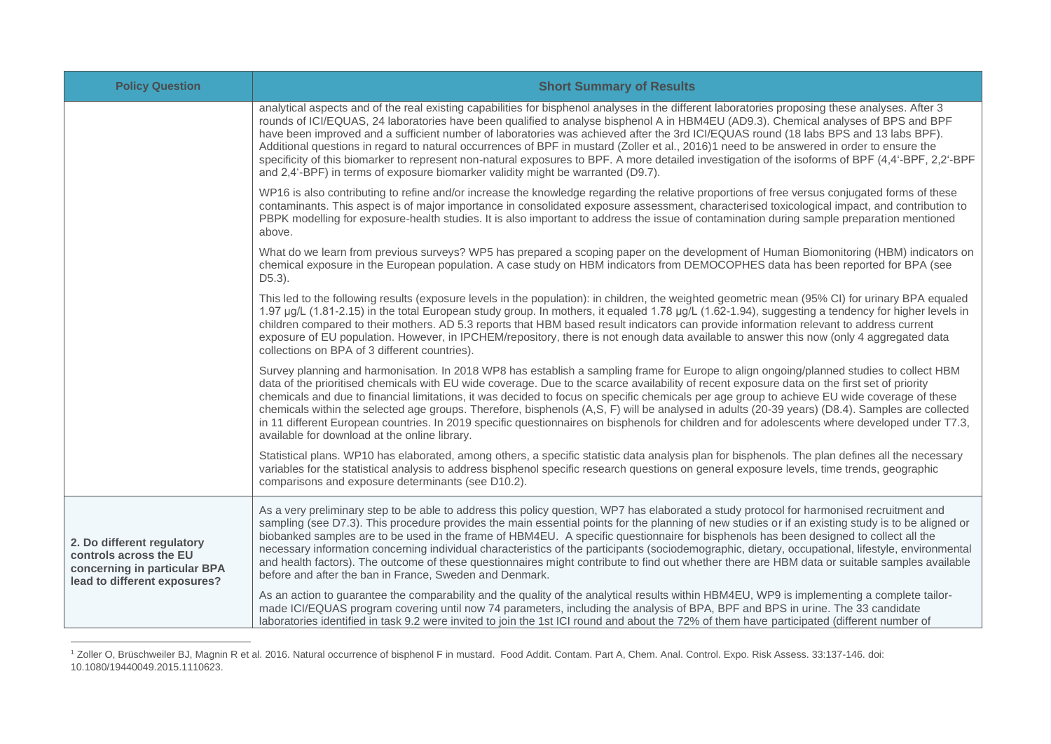| <b>Policy Question</b>                                                                                               | <b>Short Summary of Results</b>                                                                                                                                                                                                                                                                                                                                                                                                                                                                                                                                                                                                                                                                                                                                                                                      |  |  |
|----------------------------------------------------------------------------------------------------------------------|----------------------------------------------------------------------------------------------------------------------------------------------------------------------------------------------------------------------------------------------------------------------------------------------------------------------------------------------------------------------------------------------------------------------------------------------------------------------------------------------------------------------------------------------------------------------------------------------------------------------------------------------------------------------------------------------------------------------------------------------------------------------------------------------------------------------|--|--|
|                                                                                                                      | analytical aspects and of the real existing capabilities for bisphenol analyses in the different laboratories proposing these analyses. After 3<br>rounds of ICI/EQUAS, 24 laboratories have been qualified to analyse bisphenol A in HBM4EU (AD9.3). Chemical analyses of BPS and BPF<br>have been improved and a sufficient number of laboratories was achieved after the 3rd ICI/EQUAS round (18 labs BPS and 13 labs BPF).<br>Additional questions in regard to natural occurrences of BPF in mustard (Zoller et al., 2016)1 need to be answered in order to ensure the<br>specificity of this biomarker to represent non-natural exposures to BPF. A more detailed investigation of the isoforms of BPF (4,4'-BPF, 2,2'-BPF<br>and 2,4'-BPF) in terms of exposure biomarker validity might be warranted (D9.7). |  |  |
|                                                                                                                      | WP16 is also contributing to refine and/or increase the knowledge regarding the relative proportions of free versus conjugated forms of these<br>contaminants. This aspect is of major importance in consolidated exposure assessment, characterised toxicological impact, and contribution to<br>PBPK modelling for exposure-health studies. It is also important to address the issue of contamination during sample preparation mentioned<br>above.                                                                                                                                                                                                                                                                                                                                                               |  |  |
|                                                                                                                      | What do we learn from previous surveys? WP5 has prepared a scoping paper on the development of Human Biomonitoring (HBM) indicators on<br>chemical exposure in the European population. A case study on HBM indicators from DEMOCOPHES data has been reported for BPA (see<br>$D5.3$ ).                                                                                                                                                                                                                                                                                                                                                                                                                                                                                                                              |  |  |
|                                                                                                                      | This led to the following results (exposure levels in the population): in children, the weighted geometric mean (95% CI) for urinary BPA equaled<br>1.97 µg/L (1.81-2.15) in the total European study group. In mothers, it equaled 1.78 µg/L (1.62-1.94), suggesting a tendency for higher levels in<br>children compared to their mothers. AD 5.3 reports that HBM based result indicators can provide information relevant to address current<br>exposure of EU population. However, in IPCHEM/repository, there is not enough data available to answer this now (only 4 aggregated data<br>collections on BPA of 3 different countries).                                                                                                                                                                         |  |  |
|                                                                                                                      | Survey planning and harmonisation. In 2018 WP8 has establish a sampling frame for Europe to align ongoing/planned studies to collect HBM<br>data of the prioritised chemicals with EU wide coverage. Due to the scarce availability of recent exposure data on the first set of priority<br>chemicals and due to financial limitations, it was decided to focus on specific chemicals per age group to achieve EU wide coverage of these<br>chemicals within the selected age groups. Therefore, bisphenols (A,S, F) will be analysed in adults (20-39 years) (D8.4). Samples are collected<br>in 11 different European countries. In 2019 specific questionnaires on bisphenols for children and for adolescents where developed under T7.3,<br>available for download at the online library.                       |  |  |
|                                                                                                                      | Statistical plans. WP10 has elaborated, among others, a specific statistic data analysis plan for bisphenols. The plan defines all the necessary<br>variables for the statistical analysis to address bisphenol specific research questions on general exposure levels, time trends, geographic<br>comparisons and exposure determinants (see D10.2).                                                                                                                                                                                                                                                                                                                                                                                                                                                                |  |  |
| 2. Do different regulatory<br>controls across the EU<br>concerning in particular BPA<br>lead to different exposures? | As a very preliminary step to be able to address this policy question, WP7 has elaborated a study protocol for harmonised recruitment and<br>sampling (see D7.3). This procedure provides the main essential points for the planning of new studies or if an existing study is to be aligned or<br>biobanked samples are to be used in the frame of HBM4EU. A specific questionnaire for bisphenols has been designed to collect all the<br>necessary information concerning individual characteristics of the participants (sociodemographic, dietary, occupational, lifestyle, environmental<br>and health factors). The outcome of these questionnaires might contribute to find out whether there are HBM data or suitable samples available<br>before and after the ban in France, Sweden and Denmark.          |  |  |
|                                                                                                                      | As an action to guarantee the comparability and the quality of the analytical results within HBM4EU, WP9 is implementing a complete tailor-<br>made ICI/EQUAS program covering until now 74 parameters, including the analysis of BPA, BPF and BPS in urine. The 33 candidate<br>laboratories identified in task 9.2 were invited to join the 1st ICI round and about the 72% of them have participated (different number of                                                                                                                                                                                                                                                                                                                                                                                         |  |  |

<sup>&</sup>lt;sup>1</sup> Zoller O, Brüschweiler BJ, Magnin R et al. 2016. Natural occurrence of bisphenol F in mustard. Food Addit. Contam. Part A, Chem. Anal. Control. Expo. Risk Assess. 33:137-146. doi: 10.1080/19440049.2015.1110623.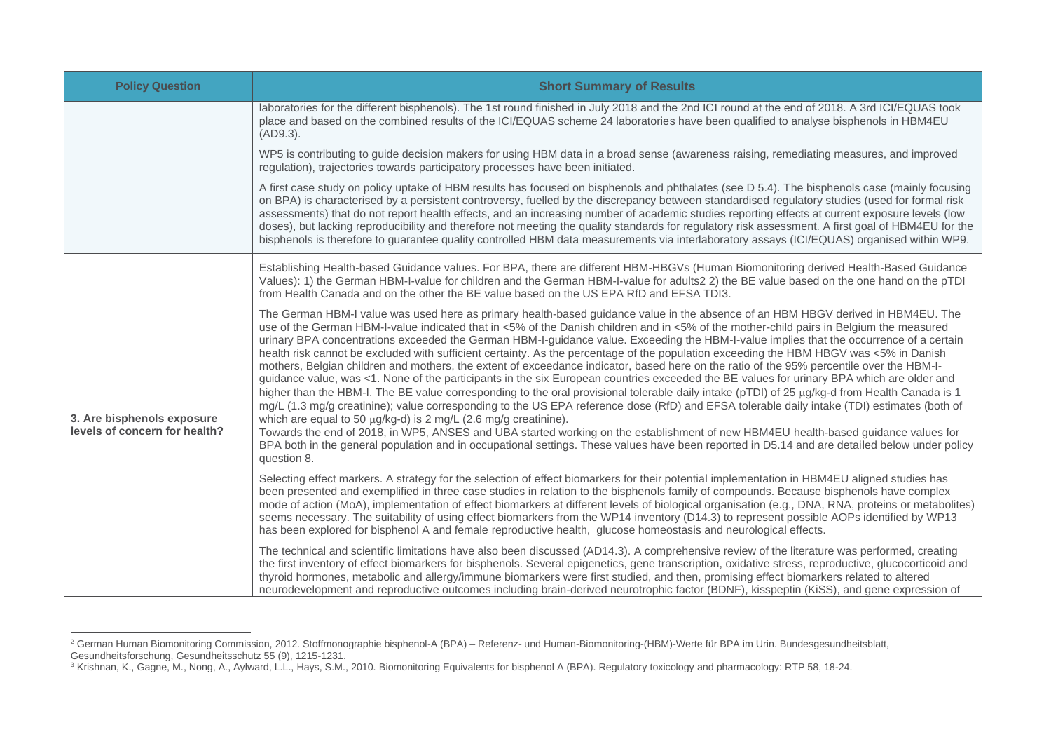| <b>Policy Question</b>                                      | <b>Short Summary of Results</b>                                                                                                                                                                                                                                                                                                                                                                                                                                                                                                                                                                                                                                                                                                                                                                                                                                                                                                                                                                                                                                                                                                                                                                                                                                                                                                                                                                                                                                                                                                    |  |  |
|-------------------------------------------------------------|------------------------------------------------------------------------------------------------------------------------------------------------------------------------------------------------------------------------------------------------------------------------------------------------------------------------------------------------------------------------------------------------------------------------------------------------------------------------------------------------------------------------------------------------------------------------------------------------------------------------------------------------------------------------------------------------------------------------------------------------------------------------------------------------------------------------------------------------------------------------------------------------------------------------------------------------------------------------------------------------------------------------------------------------------------------------------------------------------------------------------------------------------------------------------------------------------------------------------------------------------------------------------------------------------------------------------------------------------------------------------------------------------------------------------------------------------------------------------------------------------------------------------------|--|--|
|                                                             | laboratories for the different bisphenols). The 1st round finished in July 2018 and the 2nd ICI round at the end of 2018. A 3rd ICI/EQUAS took<br>place and based on the combined results of the ICI/EQUAS scheme 24 laboratories have been qualified to analyse bisphenols in HBM4EU<br>(AD9.3).                                                                                                                                                                                                                                                                                                                                                                                                                                                                                                                                                                                                                                                                                                                                                                                                                                                                                                                                                                                                                                                                                                                                                                                                                                  |  |  |
|                                                             | WP5 is contributing to guide decision makers for using HBM data in a broad sense (awareness raising, remediating measures, and improved<br>regulation), trajectories towards participatory processes have been initiated.                                                                                                                                                                                                                                                                                                                                                                                                                                                                                                                                                                                                                                                                                                                                                                                                                                                                                                                                                                                                                                                                                                                                                                                                                                                                                                          |  |  |
|                                                             | A first case study on policy uptake of HBM results has focused on bisphenols and phthalates (see D 5.4). The bisphenols case (mainly focusing<br>on BPA) is characterised by a persistent controversy, fuelled by the discrepancy between standardised regulatory studies (used for formal risk<br>assessments) that do not report health effects, and an increasing number of academic studies reporting effects at current exposure levels (low<br>doses), but lacking reproducibility and therefore not meeting the quality standards for regulatory risk assessment. A first goal of HBM4EU for the<br>bisphenols is therefore to guarantee quality controlled HBM data measurements via interlaboratory assays (ICI/EQUAS) organised within WP9.                                                                                                                                                                                                                                                                                                                                                                                                                                                                                                                                                                                                                                                                                                                                                                              |  |  |
| 3. Are bisphenols exposure<br>levels of concern for health? | Establishing Health-based Guidance values. For BPA, there are different HBM-HBGVs (Human Biomonitoring derived Health-Based Guidance<br>Values): 1) the German HBM-I-value for children and the German HBM-I-value for adults2 2) the BE value based on the one hand on the pTDI<br>from Health Canada and on the other the BE value based on the US EPA RfD and EFSA TDI3.                                                                                                                                                                                                                                                                                                                                                                                                                                                                                                                                                                                                                                                                                                                                                                                                                                                                                                                                                                                                                                                                                                                                                        |  |  |
|                                                             | The German HBM-I value was used here as primary health-based guidance value in the absence of an HBM HBGV derived in HBM4EU. The<br>use of the German HBM-I-value indicated that in <5% of the Danish children and in <5% of the mother-child pairs in Belgium the measured<br>urinary BPA concentrations exceeded the German HBM-I-guidance value. Exceeding the HBM-I-value implies that the occurrence of a certain<br>health risk cannot be excluded with sufficient certainty. As the percentage of the population exceeding the HBM HBGV was <5% in Danish<br>mothers, Belgian children and mothers, the extent of exceedance indicator, based here on the ratio of the 95% percentile over the HBM-I-<br>guidance value, was <1. None of the participants in the six European countries exceeded the BE values for urinary BPA which are older and<br>higher than the HBM-I. The BE value corresponding to the oral provisional tolerable daily intake (pTDI) of 25 µg/kg-d from Health Canada is 1<br>mg/L (1.3 mg/g creatinine); value corresponding to the US EPA reference dose (RfD) and EFSA tolerable daily intake (TDI) estimates (both of<br>which are equal to 50 µg/kg-d) is 2 mg/L (2.6 mg/g creatinine).<br>Towards the end of 2018, in WP5, ANSES and UBA started working on the establishment of new HBM4EU health-based guidance values for<br>BPA both in the general population and in occupational settings. These values have been reported in D5.14 and are detailed below under policy<br>question 8. |  |  |
|                                                             | Selecting effect markers. A strategy for the selection of effect biomarkers for their potential implementation in HBM4EU aligned studies has<br>been presented and exemplified in three case studies in relation to the bisphenols family of compounds. Because bisphenols have complex<br>mode of action (MoA), implementation of effect biomarkers at different levels of biological organisation (e.g., DNA, RNA, proteins or metabolites)<br>seems necessary. The suitability of using effect biomarkers from the WP14 inventory (D14.3) to represent possible AOPs identified by WP13<br>has been explored for bisphenol A and female reproductive health, glucose homeostasis and neurological effects.                                                                                                                                                                                                                                                                                                                                                                                                                                                                                                                                                                                                                                                                                                                                                                                                                      |  |  |
|                                                             | The technical and scientific limitations have also been discussed (AD14.3). A comprehensive review of the literature was performed, creating<br>the first inventory of effect biomarkers for bisphenols. Several epigenetics, gene transcription, oxidative stress, reproductive, glucocorticoid and<br>thyroid hormones, metabolic and allergy/immune biomarkers were first studied, and then, promising effect biomarkers related to altered<br>neurodevelopment and reproductive outcomes including brain-derived neurotrophic factor (BDNF), kisspeptin (KiSS), and gene expression of                                                                                                                                                                                                                                                                                                                                                                                                                                                                                                                                                                                                                                                                                                                                                                                                                                                                                                                                         |  |  |

<sup>&</sup>lt;sup>2</sup> German Human Biomonitoring Commission, 2012. Stoffmonographie bisphenol-A (BPA) – Referenz- und Human-Biomonitoring-(HBM)-Werte für BPA im Urin. Bundesgesundheitsblatt, Gesundheitsforschung, Gesundheitsschutz 55 (9), 1215-1231.

<sup>&</sup>lt;sup>3</sup> Krishnan, K., Gagne, M., Nong, A., Aylward, L.L., Hays, S.M., 2010. Biomonitoring Equivalents for bisphenol A (BPA). Regulatory toxicology and pharmacology: RTP 58, 18-24.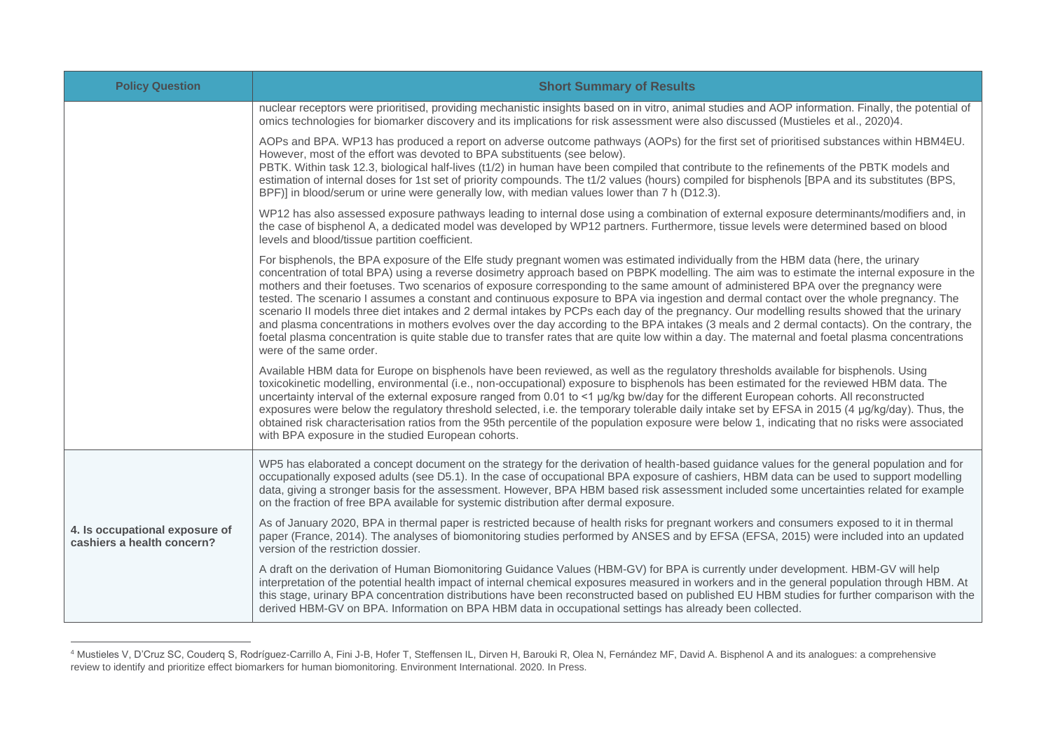| <b>Policy Question</b>                                       | <b>Short Summary of Results</b>                                                                                                                                                                                                                                                                                                                                                                                                                                                                                                                                                                                                                                                                                                                                                                                                                                                                                                                                                                                                                  |  |  |
|--------------------------------------------------------------|--------------------------------------------------------------------------------------------------------------------------------------------------------------------------------------------------------------------------------------------------------------------------------------------------------------------------------------------------------------------------------------------------------------------------------------------------------------------------------------------------------------------------------------------------------------------------------------------------------------------------------------------------------------------------------------------------------------------------------------------------------------------------------------------------------------------------------------------------------------------------------------------------------------------------------------------------------------------------------------------------------------------------------------------------|--|--|
|                                                              | nuclear receptors were prioritised, providing mechanistic insights based on in vitro, animal studies and AOP information. Finally, the potential of<br>omics technologies for biomarker discovery and its implications for risk assessment were also discussed (Mustieles et al., 2020)4.                                                                                                                                                                                                                                                                                                                                                                                                                                                                                                                                                                                                                                                                                                                                                        |  |  |
|                                                              | AOPs and BPA. WP13 has produced a report on adverse outcome pathways (AOPs) for the first set of prioritised substances within HBM4EU.<br>However, most of the effort was devoted to BPA substituents (see below).<br>PBTK. Within task 12.3, biological half-lives (t1/2) in human have been compiled that contribute to the refinements of the PBTK models and<br>estimation of internal doses for 1st set of priority compounds. The t1/2 values (hours) compiled for bisphenols [BPA and its substitutes (BPS,<br>BPF)] in blood/serum or urine were generally low, with median values lower than 7 h (D12.3).                                                                                                                                                                                                                                                                                                                                                                                                                               |  |  |
|                                                              | WP12 has also assessed exposure pathways leading to internal dose using a combination of external exposure determinants/modifiers and, in<br>the case of bisphenol A, a dedicated model was developed by WP12 partners. Furthermore, tissue levels were determined based on blood<br>levels and blood/tissue partition coefficient.                                                                                                                                                                                                                                                                                                                                                                                                                                                                                                                                                                                                                                                                                                              |  |  |
|                                                              | For bisphenols, the BPA exposure of the Elfe study pregnant women was estimated individually from the HBM data (here, the urinary<br>concentration of total BPA) using a reverse dosimetry approach based on PBPK modelling. The aim was to estimate the internal exposure in the<br>mothers and their foetuses. Two scenarios of exposure corresponding to the same amount of administered BPA over the pregnancy were<br>tested. The scenario I assumes a constant and continuous exposure to BPA via ingestion and dermal contact over the whole pregnancy. The<br>scenario II models three diet intakes and 2 dermal intakes by PCPs each day of the pregnancy. Our modelling results showed that the urinary<br>and plasma concentrations in mothers evolves over the day according to the BPA intakes (3 meals and 2 dermal contacts). On the contrary, the<br>foetal plasma concentration is quite stable due to transfer rates that are quite low within a day. The maternal and foetal plasma concentrations<br>were of the same order. |  |  |
|                                                              | Available HBM data for Europe on bisphenols have been reviewed, as well as the regulatory thresholds available for bisphenols. Using<br>toxicokinetic modelling, environmental (i.e., non-occupational) exposure to bisphenols has been estimated for the reviewed HBM data. The<br>uncertainty interval of the external exposure ranged from 0.01 to <1 µg/kg bw/day for the different European cohorts. All reconstructed<br>exposures were below the regulatory threshold selected, i.e. the temporary tolerable daily intake set by EFSA in 2015 (4 µg/kg/day). Thus, the<br>obtained risk characterisation ratios from the 95th percentile of the population exposure were below 1, indicating that no risks were associated<br>with BPA exposure in the studied European cohorts.                                                                                                                                                                                                                                                          |  |  |
|                                                              | WP5 has elaborated a concept document on the strategy for the derivation of health-based guidance values for the general population and for<br>occupationally exposed adults (see D5.1). In the case of occupational BPA exposure of cashiers, HBM data can be used to support modelling<br>data, giving a stronger basis for the assessment. However, BPA HBM based risk assessment included some uncertainties related for example<br>on the fraction of free BPA available for systemic distribution after dermal exposure.                                                                                                                                                                                                                                                                                                                                                                                                                                                                                                                   |  |  |
| 4. Is occupational exposure of<br>cashiers a health concern? | As of January 2020, BPA in thermal paper is restricted because of health risks for pregnant workers and consumers exposed to it in thermal<br>paper (France, 2014). The analyses of biomonitoring studies performed by ANSES and by EFSA (EFSA, 2015) were included into an updated<br>version of the restriction dossier.                                                                                                                                                                                                                                                                                                                                                                                                                                                                                                                                                                                                                                                                                                                       |  |  |
|                                                              | A draft on the derivation of Human Biomonitoring Guidance Values (HBM-GV) for BPA is currently under development. HBM-GV will help<br>interpretation of the potential health impact of internal chemical exposures measured in workers and in the general population through HBM. At<br>this stage, urinary BPA concentration distributions have been reconstructed based on published EU HBM studies for further comparison with the<br>derived HBM-GV on BPA. Information on BPA HBM data in occupational settings has already been collected.                                                                                                                                                                                                                                                                                                                                                                                                                                                                                                 |  |  |

<sup>4</sup> Mustieles V, D'Cruz SC, Couderq S, Rodríguez-Carrillo A, Fini J-B, Hofer T, Steffensen IL, Dirven H, Barouki R, Olea N, Fernández MF, David A. Bisphenol A and its analogues: a comprehensive review to identify and prioritize effect biomarkers for human biomonitoring. Environment International. 2020. In Press.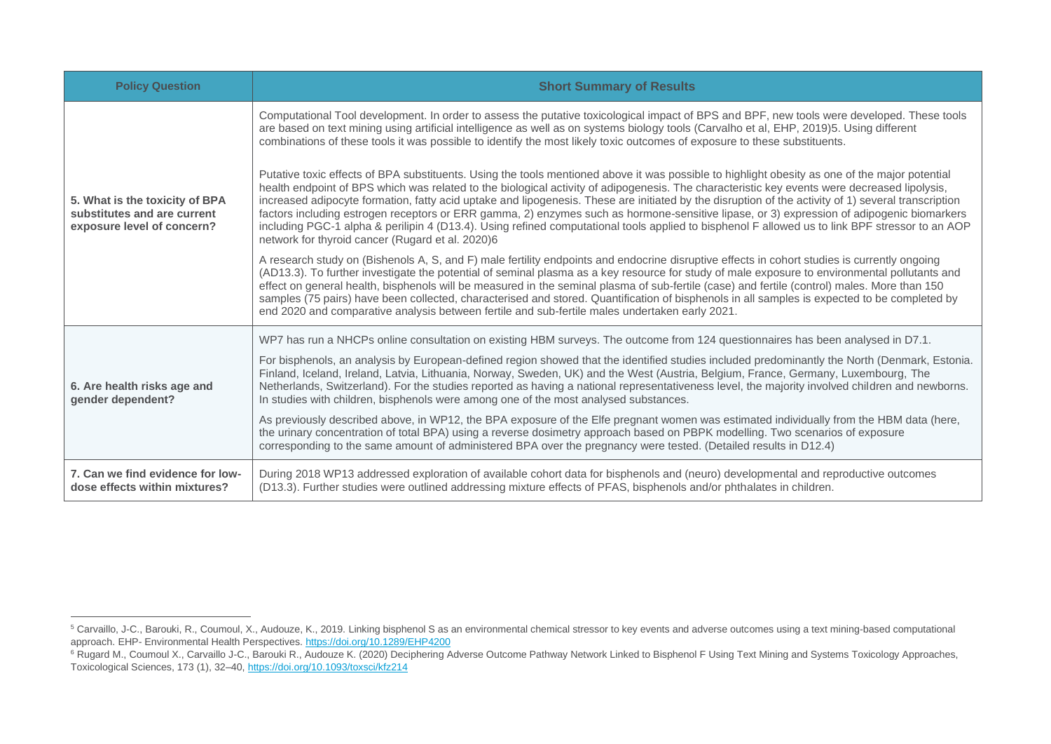| <b>Policy Question</b>                                                                      | <b>Short Summary of Results</b>                                                                                                                                                                                                                                                                                                                                                                                                                                                                                                                                                                                                                                                                                                                                                                           |  |  |
|---------------------------------------------------------------------------------------------|-----------------------------------------------------------------------------------------------------------------------------------------------------------------------------------------------------------------------------------------------------------------------------------------------------------------------------------------------------------------------------------------------------------------------------------------------------------------------------------------------------------------------------------------------------------------------------------------------------------------------------------------------------------------------------------------------------------------------------------------------------------------------------------------------------------|--|--|
| 5. What is the toxicity of BPA<br>substitutes and are current<br>exposure level of concern? | Computational Tool development. In order to assess the putative toxicological impact of BPS and BPF, new tools were developed. These tools<br>are based on text mining using artificial intelligence as well as on systems biology tools (Carvalho et al, EHP, 2019)5. Using different<br>combinations of these tools it was possible to identify the most likely toxic outcomes of exposure to these substituents.                                                                                                                                                                                                                                                                                                                                                                                       |  |  |
|                                                                                             | Putative toxic effects of BPA substituents. Using the tools mentioned above it was possible to highlight obesity as one of the major potential<br>health endpoint of BPS which was related to the biological activity of adipogenesis. The characteristic key events were decreased lipolysis,<br>increased adipocyte formation, fatty acid uptake and lipogenesis. These are initiated by the disruption of the activity of 1) several transcription<br>factors including estrogen receptors or ERR gamma, 2) enzymes such as hormone-sensitive lipase, or 3) expression of adipogenic biomarkers<br>including PGC-1 alpha & perilipin 4 (D13.4). Using refined computational tools applied to bisphenol F allowed us to link BPF stressor to an AOP<br>network for thyroid cancer (Rugard et al. 2020)6 |  |  |
|                                                                                             | A research study on (Bishenols A, S, and F) male fertility endpoints and endocrine disruptive effects in cohort studies is currently ongoing<br>(AD13.3). To further investigate the potential of seminal plasma as a key resource for study of male exposure to environmental pollutants and<br>effect on general health, bisphenols will be measured in the seminal plasma of sub-fertile (case) and fertile (control) males. More than 150<br>samples (75 pairs) have been collected, characterised and stored. Quantification of bisphenols in all samples is expected to be completed by<br>end 2020 and comparative analysis between fertile and sub-fertile males undertaken early 2021.                                                                                                           |  |  |
| 6. Are health risks age and<br>gender dependent?                                            | WP7 has run a NHCPs online consultation on existing HBM surveys. The outcome from 124 questionnaires has been analysed in D7.1.                                                                                                                                                                                                                                                                                                                                                                                                                                                                                                                                                                                                                                                                           |  |  |
|                                                                                             | For bisphenols, an analysis by European-defined region showed that the identified studies included predominantly the North (Denmark, Estonia.<br>Finland, Iceland, Ireland, Latvia, Lithuania, Norway, Sweden, UK) and the West (Austria, Belgium, France, Germany, Luxembourg, The<br>Netherlands, Switzerland). For the studies reported as having a national representativeness level, the majority involved children and newborns.<br>In studies with children, bisphenols were among one of the most analysed substances.                                                                                                                                                                                                                                                                            |  |  |
|                                                                                             | As previously described above, in WP12, the BPA exposure of the Elfe pregnant women was estimated individually from the HBM data (here,<br>the urinary concentration of total BPA) using a reverse dosimetry approach based on PBPK modelling. Two scenarios of exposure<br>corresponding to the same amount of administered BPA over the pregnancy were tested. (Detailed results in D12.4)                                                                                                                                                                                                                                                                                                                                                                                                              |  |  |
| 7. Can we find evidence for low-<br>dose effects within mixtures?                           | During 2018 WP13 addressed exploration of available cohort data for bisphenols and (neuro) developmental and reproductive outcomes<br>(D13.3). Further studies were outlined addressing mixture effects of PFAS, bisphenols and/or phthalates in children.                                                                                                                                                                                                                                                                                                                                                                                                                                                                                                                                                |  |  |

<sup>&</sup>lt;sup>5</sup> Carvaillo, J-C., Barouki, R., Coumoul, X., Audouze, K., 2019. Linking bisphenol S as an environmental chemical stressor to key events and adverse outcomes using a text mining-based computational approach. EHP- Environmental Health Perspectives.<https://doi.org/10.1289/EHP4200>

<sup>6</sup> Rugard M., Coumoul X., Carvaillo J-C., Barouki R., Audouze K. (2020) Deciphering Adverse Outcome Pathway Network Linked to Bisphenol F Using Text Mining and Systems Toxicology Approaches, Toxicological Sciences, 173 (1), 32–40[, https://doi.org/10.1093/toxsci/kfz214](https://doi.org/10.1093/toxsci/kfz214)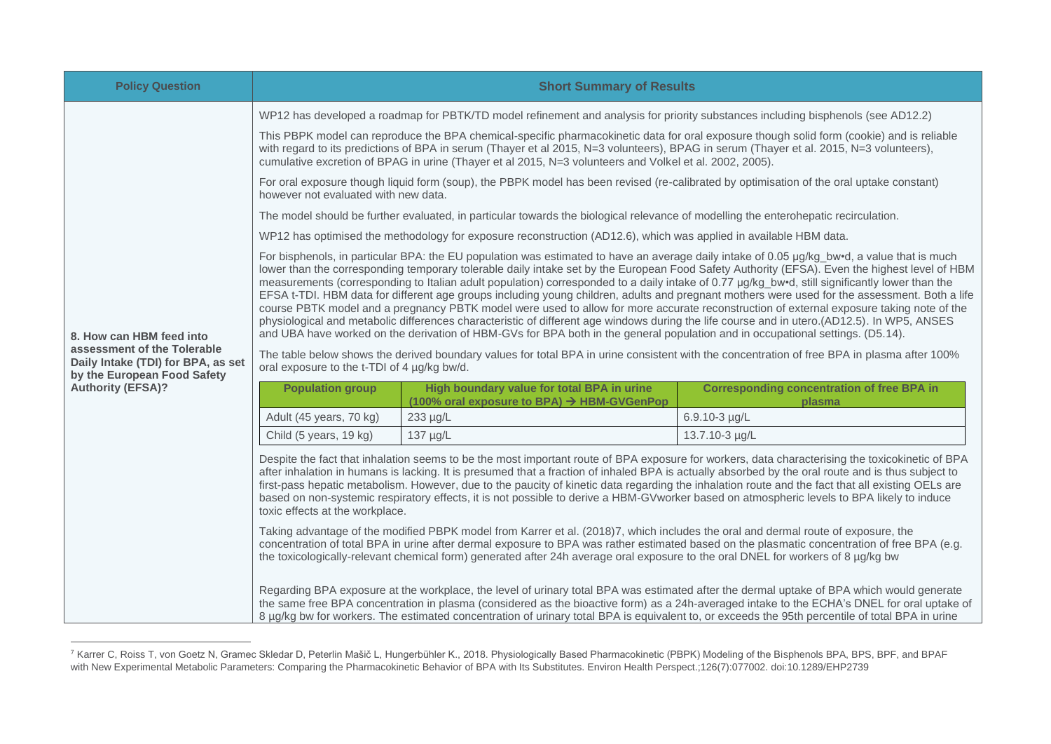| <b>Policy Question</b>                                                                           | <b>Short Summary of Results</b>                                                                                                                                                                                                                                                                                                                                                                                                                                                                                                                                                                                                                                                                                                                                                                                                                                                                                                                                                                                              |                                                                                          |                                                                                                                                                                                                                                                                                                                                                                                                                                             |  |
|--------------------------------------------------------------------------------------------------|------------------------------------------------------------------------------------------------------------------------------------------------------------------------------------------------------------------------------------------------------------------------------------------------------------------------------------------------------------------------------------------------------------------------------------------------------------------------------------------------------------------------------------------------------------------------------------------------------------------------------------------------------------------------------------------------------------------------------------------------------------------------------------------------------------------------------------------------------------------------------------------------------------------------------------------------------------------------------------------------------------------------------|------------------------------------------------------------------------------------------|---------------------------------------------------------------------------------------------------------------------------------------------------------------------------------------------------------------------------------------------------------------------------------------------------------------------------------------------------------------------------------------------------------------------------------------------|--|
|                                                                                                  | WP12 has developed a roadmap for PBTK/TD model refinement and analysis for priority substances including bisphenols (see AD12.2)                                                                                                                                                                                                                                                                                                                                                                                                                                                                                                                                                                                                                                                                                                                                                                                                                                                                                             |                                                                                          |                                                                                                                                                                                                                                                                                                                                                                                                                                             |  |
|                                                                                                  | This PBPK model can reproduce the BPA chemical-specific pharmacokinetic data for oral exposure though solid form (cookie) and is reliable<br>with regard to its predictions of BPA in serum (Thayer et al 2015, N=3 volunteers), BPAG in serum (Thayer et al. 2015, N=3 volunteers),<br>cumulative excretion of BPAG in urine (Thayer et al 2015, N=3 volunteers and Volkel et al. 2002, 2005).                                                                                                                                                                                                                                                                                                                                                                                                                                                                                                                                                                                                                              |                                                                                          |                                                                                                                                                                                                                                                                                                                                                                                                                                             |  |
|                                                                                                  | For oral exposure though liquid form (soup), the PBPK model has been revised (re-calibrated by optimisation of the oral uptake constant)<br>however not evaluated with new data.                                                                                                                                                                                                                                                                                                                                                                                                                                                                                                                                                                                                                                                                                                                                                                                                                                             |                                                                                          |                                                                                                                                                                                                                                                                                                                                                                                                                                             |  |
|                                                                                                  | The model should be further evaluated, in particular towards the biological relevance of modelling the enterohepatic recirculation.                                                                                                                                                                                                                                                                                                                                                                                                                                                                                                                                                                                                                                                                                                                                                                                                                                                                                          |                                                                                          |                                                                                                                                                                                                                                                                                                                                                                                                                                             |  |
|                                                                                                  | WP12 has optimised the methodology for exposure reconstruction (AD12.6), which was applied in available HBM data.                                                                                                                                                                                                                                                                                                                                                                                                                                                                                                                                                                                                                                                                                                                                                                                                                                                                                                            |                                                                                          |                                                                                                                                                                                                                                                                                                                                                                                                                                             |  |
| 8. How can HBM feed into                                                                         | For bisphenols, in particular BPA: the EU population was estimated to have an average daily intake of 0.05 µg/kg bw•d, a value that is much<br>lower than the corresponding temporary tolerable daily intake set by the European Food Safety Authority (EFSA). Even the highest level of HBM<br>measurements (corresponding to Italian adult population) corresponded to a daily intake of 0.77 µg/kg bw•d, still significantly lower than the<br>EFSA t-TDI. HBM data for different age groups including young children, adults and pregnant mothers were used for the assessment. Both a life<br>course PBTK model and a pregnancy PBTK model were used to allow for more accurate reconstruction of external exposure taking note of the<br>physiological and metabolic differences characteristic of different age windows during the life course and in utero.(AD12.5). In WP5, ANSES<br>and UBA have worked on the derivation of HBM-GVs for BPA both in the general population and in occupational settings. (D5.14). |                                                                                          |                                                                                                                                                                                                                                                                                                                                                                                                                                             |  |
| assessment of the Tolerable<br>Daily Intake (TDI) for BPA, as set<br>by the European Food Safety | The table below shows the derived boundary values for total BPA in urine consistent with the concentration of free BPA in plasma after 100%<br>oral exposure to the t-TDI of 4 µg/kg bw/d.                                                                                                                                                                                                                                                                                                                                                                                                                                                                                                                                                                                                                                                                                                                                                                                                                                   |                                                                                          |                                                                                                                                                                                                                                                                                                                                                                                                                                             |  |
| <b>Authority (EFSA)?</b>                                                                         | <b>Population group</b>                                                                                                                                                                                                                                                                                                                                                                                                                                                                                                                                                                                                                                                                                                                                                                                                                                                                                                                                                                                                      | High boundary value for total BPA in urine<br>(100% oral exposure to BPA) → HBM-GVGenPop | <b>Corresponding concentration of free BPA in</b><br>plasma                                                                                                                                                                                                                                                                                                                                                                                 |  |
|                                                                                                  | Adult (45 years, 70 kg)                                                                                                                                                                                                                                                                                                                                                                                                                                                                                                                                                                                                                                                                                                                                                                                                                                                                                                                                                                                                      | 233 µg/L                                                                                 | 6.9.10-3 µg/L                                                                                                                                                                                                                                                                                                                                                                                                                               |  |
|                                                                                                  | Child (5 years, 19 kg)                                                                                                                                                                                                                                                                                                                                                                                                                                                                                                                                                                                                                                                                                                                                                                                                                                                                                                                                                                                                       | 137 µg/L                                                                                 | 13.7.10-3 µg/L                                                                                                                                                                                                                                                                                                                                                                                                                              |  |
|                                                                                                  | Despite the fact that inhalation seems to be the most important route of BPA exposure for workers, data characterising the toxicokinetic of BPA<br>after inhalation in humans is lacking. It is presumed that a fraction of inhaled BPA is actually absorbed by the oral route and is thus subject to<br>first-pass hepatic metabolism. However, due to the paucity of kinetic data regarding the inhalation route and the fact that all existing OELs are<br>based on non-systemic respiratory effects, it is not possible to derive a HBM-GVworker based on atmospheric levels to BPA likely to induce<br>toxic effects at the workplace.<br>Taking advantage of the modified PBPK model from Karrer et al. (2018)7, which includes the oral and dermal route of exposure, the                                                                                                                                                                                                                                             |                                                                                          |                                                                                                                                                                                                                                                                                                                                                                                                                                             |  |
|                                                                                                  | concentration of total BPA in urine after dermal exposure to BPA was rather estimated based on the plasmatic concentration of free BPA (e.g.<br>the toxicologically-relevant chemical form) generated after 24h average oral exposure to the oral DNEL for workers of 8 µg/kg bw                                                                                                                                                                                                                                                                                                                                                                                                                                                                                                                                                                                                                                                                                                                                             |                                                                                          |                                                                                                                                                                                                                                                                                                                                                                                                                                             |  |
|                                                                                                  |                                                                                                                                                                                                                                                                                                                                                                                                                                                                                                                                                                                                                                                                                                                                                                                                                                                                                                                                                                                                                              |                                                                                          | Regarding BPA exposure at the workplace, the level of urinary total BPA was estimated after the dermal uptake of BPA which would generate<br>the same free BPA concentration in plasma (considered as the bioactive form) as a 24h-averaged intake to the ECHA's DNEL for oral uptake of<br>8 µg/kg bw for workers. The estimated concentration of urinary total BPA is equivalent to, or exceeds the 95th percentile of total BPA in urine |  |

<sup>7</sup> Karrer C, Roiss T, von Goetz N, Gramec Skledar D, Peterlin Mašič L, Hungerbühler K., 2018. Physiologically Based Pharmacokinetic (PBPK) Modeling of the Bisphenols BPA, BPS, BPF, and BPAF with New Experimental Metabolic Parameters: Comparing the Pharmacokinetic Behavior of BPA with Its Substitutes. Environ Health Perspect.;126(7):077002. doi:10.1289/EHP2739